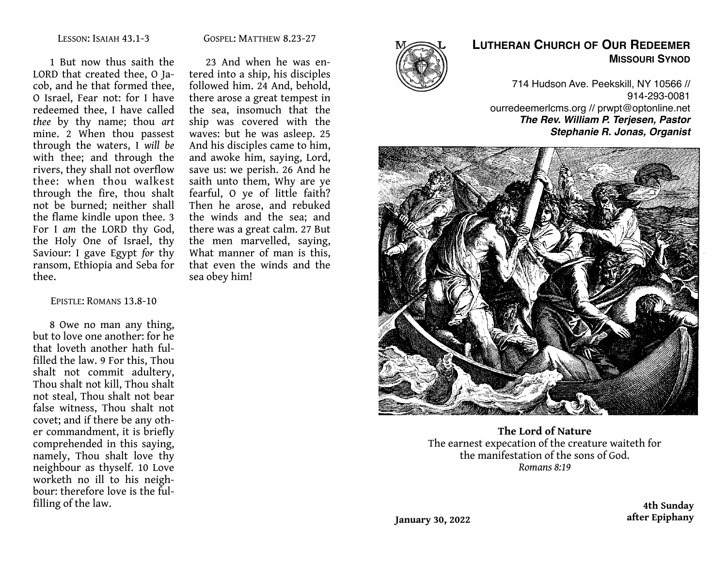#### GOSPEL: MATTHEW 8.23-27

1 But now thus saith the LORD that created thee, O Jacob, and he that formed thee, O Israel, Fear not: for I have redeemed thee, I have called *thee* by thy name; thou *art*  mine. 2 When thou passest through the waters, I *will be*  with thee; and through the rivers, they shall not overflow thee: when thou walkest through the fire, thou shalt not be burned; neither shall the flame kindle upon thee. 3 For I *am* the LORD thy God, the Holy One of Israel, thy Saviour: I gave Egypt *for* thy ransom, Ethiopia and Seba for thee.

#### EPISTLE: ROMANS 13.8-10

8 Owe no man any thing, but to love one another: for he that loveth another hath fulfilled the law. 9 For this, Thou shalt not commit adultery, Thou shalt not kill, Thou shalt not steal, Thou shalt not bear false witness, Thou shalt not covet; and if there be any other commandment, it is briefly comprehended in this saying, namely, Thou shalt love thy neighbour as thyself. 10 Love worketh no ill to his neighbour: therefore love is the fulfilling of the law.

23 And when he was entered into a ship, his disciples followed him. 24 And, behold, there arose a great tempest in the sea, insomuch that the ship was covered with the waves: but he was asleep. 25 And his disciples came to him, and awoke him, saying, Lord, save us: we perish. 26 And he saith unto them, Why are ye fearful, O ye of little faith? Then he arose, and rebuked the winds and the sea; and there was a great calm. 27 But the men marvelled, saying, What manner of man is this, that even the winds and the sea obey him!



# **LUTHERAN CHURCH OF OUR REDEEMER MISSOURI SYNOD**

714 Hudson Ave. Peekskill, NY 10566 // 914-293-0081 ourredeemerlcms.org // prwpt@optonline.net *The Rev. William P. Terjesen, Pastor Stephanie R. Jonas, Organist*



**The Lord of Nature** The earnest expecation of the creature waiteth for the manifestation of the sons of God. *Romans 8:19*

> **4th Sunday after Epiphany**

**January 30, 2022**